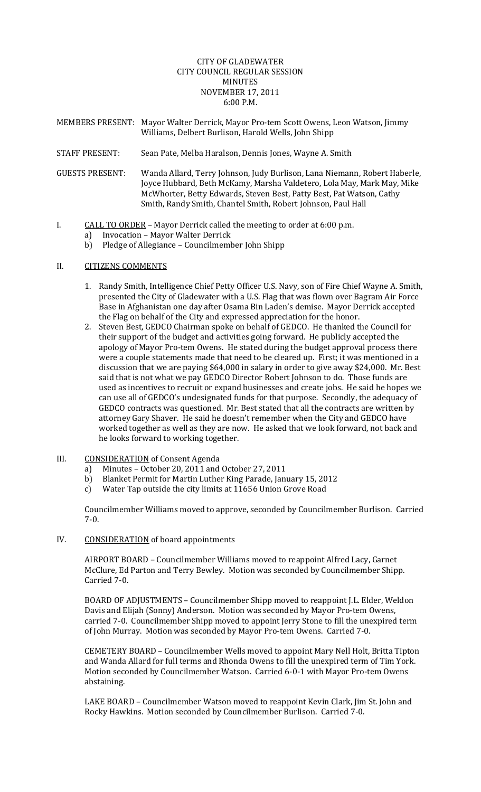## CITY OF GLADEWATER CITY COUNCIL REGULAR SESSION MINUTES NOVEMBER 17, 2011 6:00 P.M.

- MEMBERS PRESENT: Mayor Walter Derrick, Mayor Pro‐tem Scott Owens, Leon Watson, Jimmy Williams, Delbert Burlison, Harold Wells, John Shipp
- STAFF PRESENT: Sean Pate, Melba Haralson, Dennis Jones, Wayne A. Smith
- GUESTS PRESENT: Wanda Allard, Terry Johnson, Judy Burlison, Lana Niemann, Robert Haberle, Joyce Hubbard, Beth McKamy, Marsha Valdetero, Lola May, Mark May, Mike McWhorter, Betty Edwards, Steven Best, Patty Best, Pat Watson, Cathy Smith, Randy Smith, Chantel Smith, Robert Johnson, Paul Hall
- I. CALL TO ORDER Mayor Derrick called the meeting to order at 6:00 p.m.
	- a) Invocation Mayor Walter Derrick
	- b) Pledge of Allegiance Councilmember John Shipp

## II. **CITIZENS COMMENTS**

- 1. Randy Smith, Intelligence Chief Petty Officer U.S. Navy, son of Fire Chief Wayne A. Smith, presented the City of Gladewater with a U.S. Flag that was flown over Bagram Air Force Base in Afghanistan one day after Osama Bin Laden's demise. Mayor Derrick accepted the Flag on behalf of the City and expressed appreciation for the honor.
- 2. Steven Best, GEDCO Chairman spoke on behalf of GEDCO. He thanked the Council for their support of the budget and activities going forward. He publicly accepted the apology of Mayor Pro‐tem Owens. He stated during the budget approval process there were a couple statements made that need to be cleared up. First; it was mentioned in a discussion that we are paying \$64,000 in salary in order to give away \$24,000. Mr. Best said that is not what we pay GEDCO Director Robert Johnson to do. Those funds are used as incentives to recruit or expand businesses and create jobs. He said he hopes we can use all of GEDCO's undesignated funds for that purpose. Secondly, the adequacy of GEDCO contracts was questioned. Mr. Best stated that all the contracts are written by attorney Gary Shaver. He said he doesn't remember when the City and GEDCO have worked together as well as they are now. He asked that we look forward, not back and he looks forward to working together.
- III. CONSIDERATION of Consent Agenda
	- a) Minutes October 20, 2011 and October 27, 2011
	- b) Blanket Permit for Martin Luther King Parade, January 15, 2012
	- c) Water Tap outside the city limits at 11656 Union Grove Road

Councilmember Williams moved to approve, seconded by Councilmember Burlison. Carried 7‐0.

IV. CONSIDERATION of board appointments

 AIRPORT BOARD – Councilmember Williams moved to reappoint Alfred Lacy, Garnet McClure, Ed Parton and Terry Bewley. Motion was seconded by Councilmember Shipp. Carried 7‐0.

 BOARD OF ADJUSTMENTS – Councilmember Shipp moved to reappoint J.L. Elder, Weldon Davis and Elijah (Sonny) Anderson. Motion was seconded by Mayor Pro‐tem Owens, carried 7‐0. Councilmember Shipp moved to appoint Jerry Stone to fill the unexpired term of John Murray. Motion was seconded by Mayor Pro‐tem Owens. Carried 7‐0.

 CEMETERY BOARD – Councilmember Wells moved to appoint Mary Nell Holt, Britta Tipton and Wanda Allard for full terms and Rhonda Owens to fill the unexpired term of Tim York. Motion seconded by Councilmember Watson. Carried 6‐0‐1 with Mayor Pro‐tem Owens abstaining.

 LAKE BOARD – Councilmember Watson moved to reappoint Kevin Clark, Jim St. John and Rocky Hawkins. Motion seconded by Councilmember Burlison. Carried 7‐0.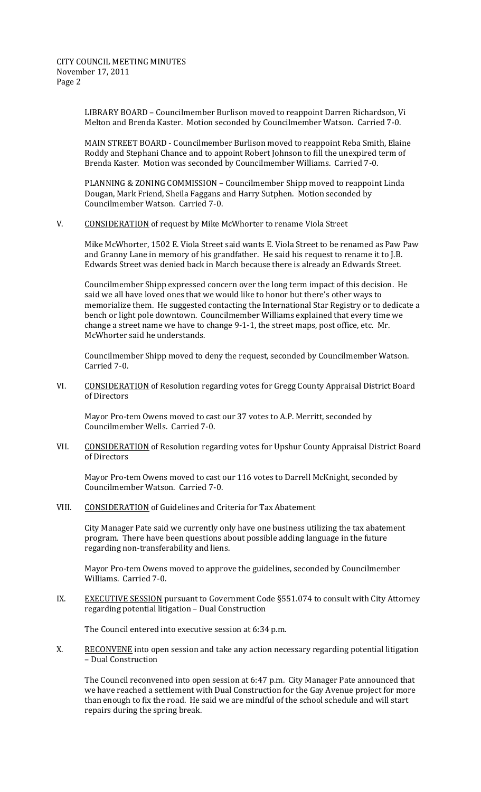CITY COUNCIL MEETING MINUTES November 17, 2011 Page 2

> LIBRARY BOARD – Councilmember Burlison moved to reappoint Darren Richardson, Vi Melton and Brenda Kaster. Motion seconded by Councilmember Watson. Carried 7‐0.

MAIN STREET BOARD ‐ Councilmember Burlison moved to reappoint Reba Smith, Elaine Roddy and Stephani Chance and to appoint Robert Johnson to fill the unexpired term of Brenda Kaster. Motion was seconded by Councilmember Williams. Carried 7‐0.

PLANNING & ZONING COMMISSION – Councilmember Shipp moved to reappoint Linda Dougan, Mark Friend, Sheila Faggans and Harry Sutphen. Motion seconded by Councilmember Watson. Carried 7‐0.

V. CONSIDERATION of request by Mike McWhorter to rename Viola Street

Mike McWhorter, 1502 E. Viola Street said wants E. Viola Street to be renamed as Paw Paw and Granny Lane in memory of his grandfather. He said his request to rename it to J.B. Edwards Street was denied back in March because there is already an Edwards Street.

Councilmember Shipp expressed concern over the long term impact of this decision. He said we all have loved ones that we would like to honor but there's other ways to memorialize them. He suggested contacting the International Star Registry or to dedicate a bench or light pole downtown. Councilmember Williams explained that every time we change a street name we have to change 9‐1‐1, the street maps, post office, etc. Mr. McWhorter said he understands.

Councilmember Shipp moved to deny the request, seconded by Councilmember Watson. Carried 7‐0.

VI. CONSIDERATION of Resolution regarding votes for Gregg County Appraisal District Board of Directors

Mayor Pro‐tem Owens moved to cast our 37 votes to A.P. Merritt, seconded by Councilmember Wells. Carried 7‐0.

VII. CONSIDERATION of Resolution regarding votes for Upshur County Appraisal District Board of Directors

Mayor Pro‐tem Owens moved to cast our 116 votes to Darrell McKnight, seconded by Councilmember Watson. Carried 7‐0.

VIII. CONSIDERATION of Guidelines and Criteria for Tax Abatement

City Manager Pate said we currently only have one business utilizing the tax abatement program. There have been questions about possible adding language in the future regarding non‐transferability and liens.

Mayor Pro‐tem Owens moved to approve the guidelines, seconded by Councilmember Williams. Carried 7‐0.

IX. EXECUTIVE SESSION pursuant to Government Code §551.074 to consult with City Attorney regarding potential litigation – Dual Construction

The Council entered into executive session at 6:34 p.m.

X. RECONVENE into open session and take any action necessary regarding potential litigation – Dual Construction

The Council reconvened into open session at 6:47 p.m. City Manager Pate announced that we have reached a settlement with Dual Construction for the Gay Avenue project for more than enough to fix the road. He said we are mindful of the school schedule and will start repairs during the spring break.